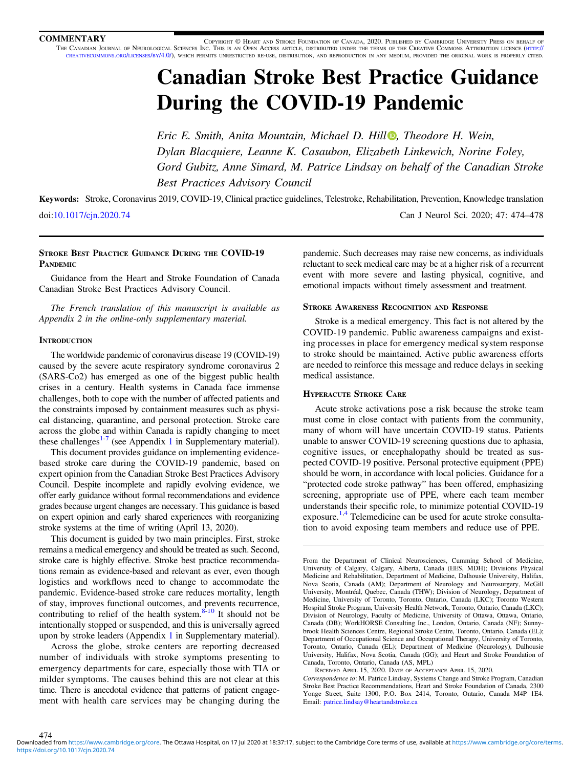**COMMENTARY** COPYRIGHT © HEART AND STROKE FOUNDATION OF CANADA, 2020. PUBLISHED BY CAMBRIDGE UNIVERSITY PRESS ON BEHALF OF THE CANADIAN JOURNAL OF NEUROLOGICAL SCIENCES INC. THIS IS AN OPEN ACCESS ARTICLE, DISTRIBUTED UNDER THE TERMS OF THE CREATIVE COMMONS ATTRIBUTION LICENCE [\(HTTP://](http://creativecommons.org/licenses/by/4.0/) [CREATIVECOMMONS.ORG/LICENSES/BY/4.0/\)](http://creativecommons.org/licenses/by/4.0/), WHICH PERMITS UNRESTRICTED RE-USE, DISTRIBUTION, AND REPRODUCTION IN ANY MEDIUM, PROVIDED THE ORIGINAL WORK IS PROPERLY CITED.

# Canadian Stroke Best Practice Guidance During the COVID-19 Pandemic

Eric E. Smith, Anita Mountain, Michael D. Hill  $\bullet$ , Theodore H. Wein, Dylan Blacquiere, Leanne K. Casaubon, Elizabeth Linkewich, Norine Foley, Gord Gubitz, Anne Simard, M. Patrice Lindsay on behalf of the Canadian Stroke Best Practices Advisory Council

Keywords: Stroke, Coronavirus 2019, COVID-19, Clinical practice guidelines, Telestroke, Rehabilitation, Prevention, Knowledge translation doi:[10.1017/cjn.2020.74](https://doi.org/10.1017/cjn.2020.74) Can J Neurol Sci. 2020; 47: 474–478

# STROKE BEST PRACTICE GUIDANCE DURING THE COVID-19 **PANDEMIC**

Guidance from the Heart and Stroke Foundation of Canada Canadian Stroke Best Practices Advisory Council.

The French translation of this manuscript is available as Appendix 2 in the online-only supplementary material.

# **INTRODUCTION**

474

The worldwide pandemic of coronavirus disease 19 (COVID-19) caused by the severe acute respiratory syndrome coronavirus 2 (SARS-Co2) has emerged as one of the biggest public health crises in a century. Health systems in Canada face immense challenges, both to cope with the number of affected patients and the constraints imposed by containment measures such as physical distancing, quarantine, and personal protection. Stroke care across the globe and within Canada is rapidly changing to meet these challenges<sup>[1](https://doi.org/10.1017/cjn.2020.74)-[7](#page-4-0)</sup> (see Appendix 1 in Supplementary material).

This document provides guidance on implementing evidencebased stroke care during the COVID-19 pandemic, based on expert opinion from the Canadian Stroke Best Practices Advisory Council. Despite incomplete and rapidly evolving evidence, we offer early guidance without formal recommendations and evidence grades because urgent changes are necessary. This guidance is based on expert opinion and early shared experiences with reorganizing stroke systems at the time of writing (April 13, 2020).

This document is guided by two main principles. First, stroke remains a medical emergency and should be treated as such. Second, stroke care is highly effective. Stroke best practice recommendations remain as evidence-based and relevant as ever, even though logistics and workflows need to change to accommodate the pandemic. Evidence-based stroke care reduces mortality, length of stay, improves functional outcomes, and prevents recurrence, contributing to relief of the health system. $8-10$  It should not be intentionally stopped or suspended, and this is universally agreed upon by stroke leaders (Appendix [1](https://doi.org/10.1017/cjn.2020.74) in Supplementary material).

Across the globe, stroke centers are reporting decreased number of individuals with stroke symptoms presenting to emergency departments for care, especially those with TIA or milder symptoms. The causes behind this are not clear at this time. There is anecdotal evidence that patterns of patient engagement with health care services may be changing during the

pandemic. Such decreases may raise new concerns, as individuals reluctant to seek medical care may be at a higher risk of a recurrent event with more severe and lasting physical, cognitive, and emotional impacts without timely assessment and treatment.

## STROKE AWARENESS RECOGNITION AND RESPONSE

Stroke is a medical emergency. This fact is not altered by the COVID-19 pandemic. Public awareness campaigns and existing processes in place for emergency medical system response to stroke should be maintained. Active public awareness efforts are needed to reinforce this message and reduce delays in seeking medical assistance.

# HYPERACUTE STROKE CARE

Acute stroke activations pose a risk because the stroke team must come in close contact with patients from the community, many of whom will have uncertain COVID-19 status. Patients unable to answer COVID-19 screening questions due to aphasia, cognitive issues, or encephalopathy should be treated as suspected COVID-19 positive. Personal protective equipment (PPE) should be worn, in accordance with local policies. Guidance for a "protected code stroke pathway" has been offered, emphasizing screening, appropriate use of PPE, where each team member understands their specific role, to minimize potential COVID-19 exposure.<sup>[1](#page-4-0),[4](#page-4-0)</sup> Telemedicine can be used for acute stroke consultation to avoid exposing team members and reduce use of PPE.

From the Department of Clinical Neurosciences, Cumming School of Medicine, University of Calgary, Calgary, Alberta, Canada (EES, MDH); Divisions Physical Medicine and Rehabilitation, Department of Medicine, Dalhousie University, Halifax, Nova Scotia, Canada (AM); Department of Neurology and Neurosurgery, McGill University, Montréal, Quebec, Canada (THW); Division of Neurology, Department of Medicine, University of Toronto, Toronto, Ontario, Canada (LKC); Toronto Western Hospital Stroke Program, University Health Network, Toronto, Ontario, Canada (LKC); Division of Neurology, Faculty of Medicine, University of Ottawa, Ottawa, Ontario, Canada (DB); WorkHORSE Consulting Inc., London, Ontario, Canada (NF); Sunnybrook Health Sciences Centre, Regional Stroke Centre, Toronto, Ontario, Canada (EL); Department of Occupational Science and Occupational Therapy, University of Toronto, Toronto, Ontario, Canada (EL); Department of Medicine (Neurology), Dalhousie University, Halifax, Nova Scotia, Canada (GG); and Heart and Stroke Foundation of Canada, Toronto, Ontario, Canada (AS, MPL)

RECEIVED APRIL 15, 2020. DATE OF ACCEPTANCE APRIL 15, 2020.

Correspondence to: M. Patrice Lindsay, Systems Change and Stroke Program, Canadian Stroke Best Practice Recommendations, Heart and Stroke Foundation of Canada, 2300 Yonge Street, Suite 1300, P.O. Box 2414, Toronto, Ontario, Canada M4P 1E4. Email: [patrice.lindsay@heartandstroke.ca](mailto:patrice.lindsay@heartandstroke.ca)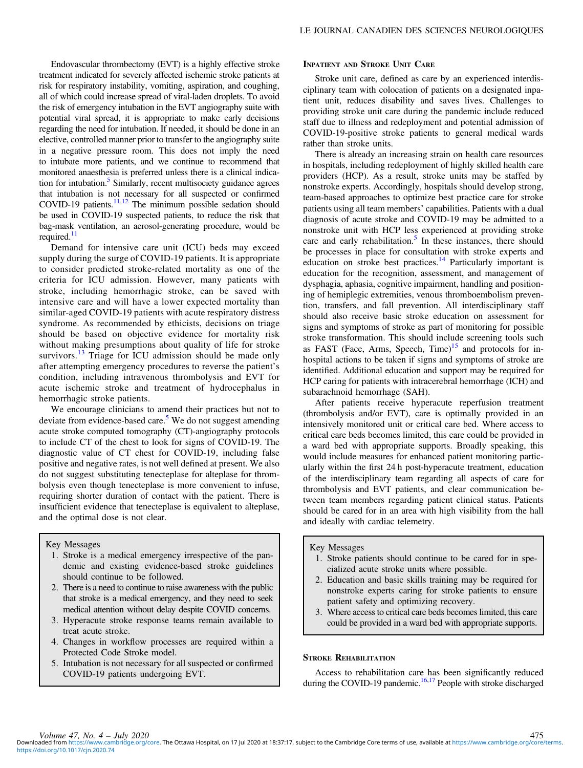Endovascular thrombectomy (EVT) is a highly effective stroke treatment indicated for severely affected ischemic stroke patients at risk for respiratory instability, vomiting, aspiration, and coughing, all of which could increase spread of viral-laden droplets. To avoid the risk of emergency intubation in the EVT angiography suite with potential viral spread, it is appropriate to make early decisions regarding the need for intubation. If needed, it should be done in an elective, controlled manner prior to transfer to the angiography suite in a negative pressure room. This does not imply the need to intubate more patients, and we continue to recommend that monitored anaesthesia is preferred unless there is a clinical indication for intubation.<sup>5</sup> Similarly, recent multisociety guidance agrees that intubation is not necessary for all suspected or confirmed COVID-19 patients. $\frac{11,12}{1}$  The minimum possible sedation should be used in COVID-19 suspected patients, to reduce the risk that bag-mask ventilation, an aerosol-generating procedure, would be required.<sup>11</sup>

Demand for intensive care unit (ICU) beds may exceed supply during the surge of COVID-19 patients. It is appropriate to consider predicted stroke-related mortality as one of the criteria for ICU admission. However, many patients with stroke, including hemorrhagic stroke, can be saved with intensive care and will have a lower expected mortality than similar-aged COVID-19 patients with acute respiratory distress syndrome. As recommended by ethicists, decisions on triage should be based on objective evidence for mortality risk without making presumptions about quality of life for stroke survivors.<sup>[13](#page-4-0)</sup> Triage for  $ICU$  admission should be made only after attempting emergency procedures to reverse the patient's condition, including intravenous thrombolysis and EVT for acute ischemic stroke and treatment of hydrocephalus in hemorrhagic stroke patients.

We encourage clinicians to amend their practices but not to deviate from evidence-based care.<sup>[5](#page-4-0)</sup> We do not suggest amending acute stroke computed tomography (CT)-angiography protocols to include CT of the chest to look for signs of COVID-19. The diagnostic value of CT chest for COVID-19, including false positive and negative rates, is not well defined at present. We also do not suggest substituting tenecteplase for alteplase for thrombolysis even though tenecteplase is more convenient to infuse, requiring shorter duration of contact with the patient. There is insufficient evidence that tenecteplase is equivalent to alteplase, and the optimal dose is not clear.

#### Key Messages

- 1. Stroke is a medical emergency irrespective of the pandemic and existing evidence-based stroke guidelines should continue to be followed.
- 2. There is a need to continue to raise awareness with the public that stroke is a medical emergency, and they need to seek medical attention without delay despite COVID concerns.
- 3. Hyperacute stroke response teams remain available to treat acute stroke.
- 4. Changes in workflow processes are required within a Protected Code Stroke model.
- 5. Intubation is not necessary for all suspected or confirmed COVID-19 patients undergoing EVT.

## INPATIENT AND STROKE UNIT CARE

Stroke unit care, defined as care by an experienced interdisciplinary team with colocation of patients on a designated inpatient unit, reduces disability and saves lives. Challenges to providing stroke unit care during the pandemic include reduced staff due to illness and redeployment and potential admission of COVID-19-positive stroke patients to general medical wards rather than stroke units.

There is already an increasing strain on health care resources in hospitals, including redeployment of highly skilled health care providers (HCP). As a result, stroke units may be staffed by nonstroke experts. Accordingly, hospitals should develop strong, team-based approaches to optimize best practice care for stroke patients using all team members' capabilities. Patients with a dual diagnosis of acute stroke and COVID-19 may be admitted to a nonstroke unit with HCP less experienced at providing stroke care and early rehabilitation.<sup>[5](#page-4-0)</sup> In these instances, there should be processes in place for consultation with stroke experts and education on stroke best practices.<sup>[14](#page-4-0)</sup> Particularly important is education for the recognition, assessment, and management of dysphagia, aphasia, cognitive impairment, handling and positioning of hemiplegic extremities, venous thromboembolism prevention, transfers, and fall prevention. All interdisciplinary staff should also receive basic stroke education on assessment for signs and symptoms of stroke as part of monitoring for possible stroke transformation. This should include screening tools such as FAST (Face, Arms, Speech, Time) $15$  and protocols for inhospital actions to be taken if signs and symptoms of stroke are identified. Additional education and support may be required for HCP caring for patients with intracerebral hemorrhage (ICH) and subarachnoid hemorrhage (SAH).

After patients receive hyperacute reperfusion treatment (thrombolysis and/or EVT), care is optimally provided in an intensively monitored unit or critical care bed. Where access to critical care beds becomes limited, this care could be provided in a ward bed with appropriate supports. Broadly speaking, this would include measures for enhanced patient monitoring particularly within the first 24 h post-hyperacute treatment, education of the interdisciplinary team regarding all aspects of care for thrombolysis and EVT patients, and clear communication between team members regarding patient clinical status. Patients should be cared for in an area with high visibility from the hall and ideally with cardiac telemetry.

# Key Messages

- 1. Stroke patients should continue to be cared for in specialized acute stroke units where possible.
- 2. Education and basic skills training may be required for nonstroke experts caring for stroke patients to ensure patient safety and optimizing recovery.
- 3. Where access to critical care beds becomes limited, this care could be provided in a ward bed with appropriate supports.

#### STROKE REHABILITATION

Access to rehabilitation care has been significantly reduced during the COVID-19 pandemic.<sup>[16,17](#page-4-0)</sup> People with stroke discharged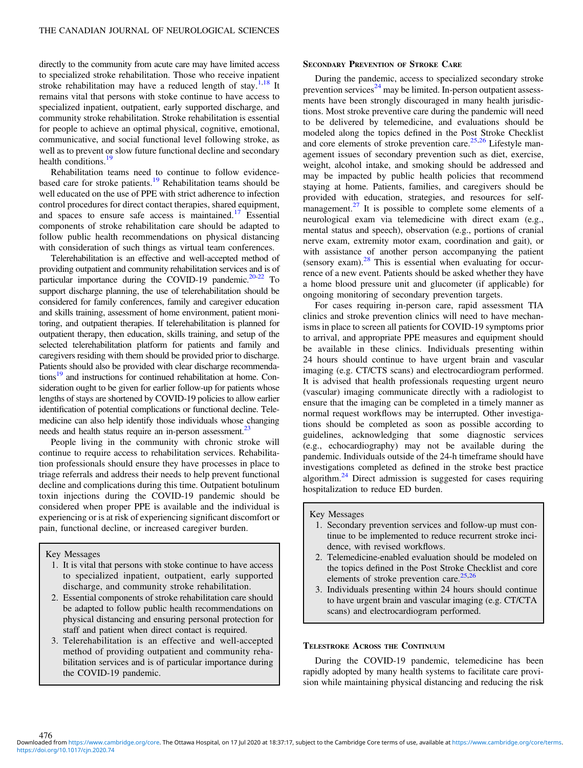directly to the community from acute care may have limited access to specialized stroke rehabilitation. Those who receive inpatient stroke rehabilitation may have a reduced length of stay.<sup>[1,18](#page-4-0)</sup> It remains vital that persons with stoke continue to have access to specialized inpatient, outpatient, early supported discharge, and community stroke rehabilitation. Stroke rehabilitation is essential for people to achieve an optimal physical, cognitive, emotional, communicative, and social functional level following stroke, as well as to prevent or slow future functional decline and secondary health conditions.<sup>[19](#page-4-0)</sup>

Rehabilitation teams need to continue to follow evidence-based care for stroke patients.<sup>[19](#page-4-0)</sup> Rehabilitation teams should be well educated on the use of PPE with strict adherence to infection control procedures for direct contact therapies, shared equipment, and spaces to ensure safe access is maintained.<sup>[17](#page-4-0)</sup> Essential components of stroke rehabilitation care should be adapted to follow public health recommendations on physical distancing with consideration of such things as virtual team conferences.

Telerehabilitation is an effective and well-accepted method of providing outpatient and community rehabilitation services and is of particular importance during the COVID-19 pandemic.<sup>[20-22](#page-4-0)</sup> To support discharge planning, the use of telerehabilitation should be considered for family conferences, family and caregiver education and skills training, assessment of home environment, patient monitoring, and outpatient therapies. If telerehabilitation is planned for outpatient therapy, then education, skills training, and setup of the selected telerehabilitation platform for patients and family and caregivers residing with them should be provided prior to discharge. Patients should also be provided with clear discharge recommendations<sup>19</sup> and instructions for continued rehabilitation at home. Consideration ought to be given for earlier follow-up for patients whose lengths of stays are shortened by COVID-19 policies to allow earlier identification of potential complications or functional decline. Telemedicine can also help identify those individuals whose changing needs and health status require an in-person assessment.<sup>[23](#page-4-0)</sup>

People living in the community with chronic stroke will continue to require access to rehabilitation services. Rehabilitation professionals should ensure they have processes in place to triage referrals and address their needs to help prevent functional decline and complications during this time. Outpatient botulinum toxin injections during the COVID-19 pandemic should be considered when proper PPE is available and the individual is experiencing or is at risk of experiencing significant discomfort or pain, functional decline, or increased caregiver burden.

Key Messages

- 1. It is vital that persons with stoke continue to have access to specialized inpatient, outpatient, early supported discharge, and community stroke rehabilitation.
- 2. Essential components of stroke rehabilitation care should be adapted to follow public health recommendations on physical distancing and ensuring personal protection for staff and patient when direct contact is required.
- 3. Telerehabilitation is an effective and well-accepted method of providing outpatient and community rehabilitation services and is of particular importance during the COVID-19 pandemic.

## SECONDARY PREVENTION OF STROKE CARE

During the pandemic, access to specialized secondary stroke prevention services<sup>[24](#page-4-0)</sup> may be limited. In-person outpatient assessments have been strongly discouraged in many health jurisdictions. Most stroke preventive care during the pandemic will need to be delivered by telemedicine, and evaluations should be modeled along the topics defined in the Post Stroke Checklist and core elements of stroke prevention care.<sup>[25,26](#page-4-0)</sup> Lifestyle management issues of secondary prevention such as diet, exercise, weight, alcohol intake, and smoking should be addressed and may be impacted by public health policies that recommend staying at home. Patients, families, and caregivers should be provided with education, strategies, and resources for selfmanagement. $27$  It is possible to complete some elements of a neurological exam via telemedicine with direct exam (e.g., mental status and speech), observation (e.g., portions of cranial nerve exam, extremity motor exam, coordination and gait), or with assistance of another person accompanying the patient (sensory exam). $28$  This is essential when evaluating for occurrence of a new event. Patients should be asked whether they have a home blood pressure unit and glucometer (if applicable) for ongoing monitoring of secondary prevention targets.

For cases requiring in-person care, rapid assessment TIA clinics and stroke prevention clinics will need to have mechanisms in place to screen all patients for COVID-19 symptoms prior to arrival, and appropriate PPE measures and equipment should be available in these clinics. Individuals presenting within 24 hours should continue to have urgent brain and vascular imaging (e.g. CT/CTS scans) and electrocardiogram performed. It is advised that health professionals requesting urgent neuro (vascular) imaging communicate directly with a radiologist to ensure that the imaging can be completed in a timely manner as normal request workflows may be interrupted. Other investigations should be completed as soon as possible according to guidelines, acknowledging that some diagnostic services (e.g., echocardiography) may not be available during the pandemic. Individuals outside of the 24-h timeframe should have investigations completed as defined in the stroke best practice algorithm. $^{24}$  $^{24}$  $^{24}$  Direct admission is suggested for cases requiring hospitalization to reduce ED burden.

#### Key Messages

- 1. Secondary prevention services and follow-up must continue to be implemented to reduce recurrent stroke incidence, with revised workflows.
- 2. Telemedicine-enabled evaluation should be modeled on the topics defined in the Post Stroke Checklist and core elements of stroke prevention care.<sup>[25,26](#page-4-0)</sup>
- 3. Individuals presenting within 24 hours should continue to have urgent brain and vascular imaging (e.g. CT/CTA scans) and electrocardiogram performed.

# TELESTROKE ACROSS THE CONTINUUM

During the COVID-19 pandemic, telemedicine has been rapidly adopted by many health systems to facilitate care provision while maintaining physical distancing and reducing the risk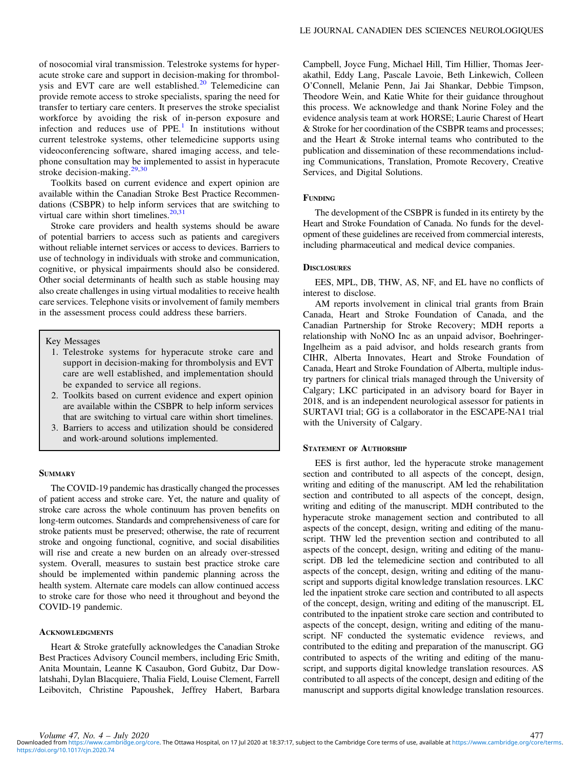of nosocomial viral transmission. Telestroke systems for hyperacute stroke care and support in decision-making for thrombol-ysis and EVT care are well established.<sup>[20](#page-4-0)</sup> Telemedicine can provide remote access to stroke specialists, sparing the need for transfer to tertiary care centers. It preserves the stroke specialist workforce by avoiding the risk of in-person exposure and infection and reduces use of  $PPE<sup>1</sup>$  $PPE<sup>1</sup>$  $PPE<sup>1</sup>$  In institutions without current telestroke systems, other telemedicine supports using videoconferencing software, shared imaging access, and telephone consultation may be implemented to assist in hyperacute stroke decision-making.[29,30](#page-4-0)

Toolkits based on current evidence and expert opinion are available within the Canadian Stroke Best Practice Recommendations (CSBPR) to help inform services that are switching to virtual care within short timelines. $20,31$  $20,31$  $20,31$ 

Stroke care providers and health systems should be aware of potential barriers to access such as patients and caregivers without reliable internet services or access to devices. Barriers to use of technology in individuals with stroke and communication, cognitive, or physical impairments should also be considered. Other social determinants of health such as stable housing may also create challenges in using virtual modalities to receive health care services. Telephone visits or involvement of family members in the assessment process could address these barriers.

# Key Messages

- 1. Telestroke systems for hyperacute stroke care and support in decision-making for thrombolysis and EVT care are well established, and implementation should be expanded to service all regions.
- 2. Toolkits based on current evidence and expert opinion are available within the CSBPR to help inform services that are switching to virtual care within short timelines.
- 3. Barriers to access and utilization should be considered and work-around solutions implemented.

## **SUMMARY**

The COVID-19 pandemic has drastically changed the processes of patient access and stroke care. Yet, the nature and quality of stroke care across the whole continuum has proven benefits on long-term outcomes. Standards and comprehensiveness of care for stroke patients must be preserved; otherwise, the rate of recurrent stroke and ongoing functional, cognitive, and social disabilities will rise and create a new burden on an already over-stressed system. Overall, measures to sustain best practice stroke care should be implemented within pandemic planning across the health system. Alternate care models can allow continued access to stroke care for those who need it throughout and beyond the COVID-19 pandemic.

#### **ACKNOWLEDGMENTS**

Heart & Stroke gratefully acknowledges the Canadian Stroke Best Practices Advisory Council members, including Eric Smith, Anita Mountain, Leanne K Casaubon, Gord Gubitz, Dar Dowlatshahi, Dylan Blacquiere, Thalia Field, Louise Clement, Farrell Leibovitch, Christine Papoushek, Jeffrey Habert, Barbara

Campbell, Joyce Fung, Michael Hill, Tim Hillier, Thomas Jeerakathil, Eddy Lang, Pascale Lavoie, Beth Linkewich, Colleen O'Connell, Melanie Penn, Jai Jai Shankar, Debbie Timpson, Theodore Wein, and Katie White for their guidance throughout this process. We acknowledge and thank Norine Foley and the evidence analysis team at work HORSE; Laurie Charest of Heart & Stroke for her coordination of the CSBPR teams and processes; and the Heart & Stroke internal teams who contributed to the publication and dissemination of these recommendations including Communications, Translation, Promote Recovery, Creative Services, and Digital Solutions.

## FUNDING

The development of the CSBPR is funded in its entirety by the Heart and Stroke Foundation of Canada. No funds for the development of these guidelines are received from commercial interests, including pharmaceutical and medical device companies.

#### **DISCLOSURES**

EES, MPL, DB, THW, AS, NF, and EL have no conflicts of interest to disclose.

AM reports involvement in clinical trial grants from Brain Canada, Heart and Stroke Foundation of Canada, and the Canadian Partnership for Stroke Recovery; MDH reports a relationship with NoNO Inc as an unpaid advisor, Boehringer-Ingelheim as a paid advisor, and holds research grants from CIHR, Alberta Innovates, Heart and Stroke Foundation of Canada, Heart and Stroke Foundation of Alberta, multiple industry partners for clinical trials managed through the University of Calgary; LKC participated in an advisory board for Bayer in 2018, and is an independent neurological assessor for patients in SURTAVI trial; GG is a collaborator in the ESCAPE-NA1 trial with the University of Calgary.

## STATEMENT OF AUTHORSHIP

EES is first author, led the hyperacute stroke management section and contributed to all aspects of the concept, design, writing and editing of the manuscript. AM led the rehabilitation section and contributed to all aspects of the concept, design, writing and editing of the manuscript. MDH contributed to the hyperacute stroke management section and contributed to all aspects of the concept, design, writing and editing of the manuscript. THW led the prevention section and contributed to all aspects of the concept, design, writing and editing of the manuscript. DB led the telemedicine section and contributed to all aspects of the concept, design, writing and editing of the manuscript and supports digital knowledge translation resources. LKC led the inpatient stroke care section and contributed to all aspects of the concept, design, writing and editing of the manuscript. EL contributed to the inpatient stroke care section and contributed to aspects of the concept, design, writing and editing of the manuscript. NF conducted the systematic evidence reviews, and contributed to the editing and preparation of the manuscript. GG contributed to aspects of the writing and editing of the manuscript, and supports digital knowledge translation resources. AS contributed to all aspects of the concept, design and editing of the manuscript and supports digital knowledge translation resources.